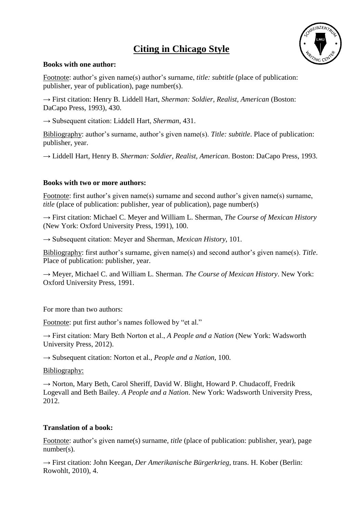# **Citing in Chicago Style**



#### **Books with one author:**

Footnote: author's given name(s) author's surname, *title: subtitle* (place of publication: publisher, year of publication), page number(s).

→ First citation: Henry B. Liddell Hart, *Sherman: Soldier, Realist, American* (Boston: DaCapo Press, 1993), 430.

→ Subsequent citation: Liddell Hart, *Sherman*, 431.

Bibliography: author's surname, author's given name(s). *Title: subtitle*. Place of publication: publisher, year.

→ Liddell Hart, Henry B. *Sherman: Soldier, Realist, American*. Boston: DaCapo Press, 1993.

#### **Books with two or more authors:**

Footnote: first author's given name(s) surname and second author's given name(s) surname, *title* (place of publication: publisher, year of publication), page number(s)

→ First citation: Michael C. Meyer and William L. Sherman, *The Course of Mexican History* (New York: Oxford University Press, 1991), 100.

→ Subsequent citation: Meyer and Sherman, *Mexican History*, 101.

Bibliography: first author's surname, given name(s) and second author's given name(s). *Title*. Place of publication: publisher, year.

→ Meyer, Michael C. and William L. Sherman. *The Course of Mexican History*. New York: Oxford University Press, 1991.

For more than two authors:

Footnote: put first author's names followed by "et al."

→ First citation: Mary Beth Norton et al., *A People and a Nation* (New York: Wadsworth University Press, 2012).

→ Subsequent citation: Norton et al., *People and a Nation*, 100.

Bibliography:

→ Norton, Mary Beth, Carol Sheriff, David W. Blight, Howard P. Chudacoff, Fredrik Logevall and Beth Bailey. *A People and a Nation*. New York: Wadsworth University Press, 2012.

# **Translation of a book:**

Footnote: author's given name(s) surname, *title* (place of publication: publisher, year), page number(s).

→ First citation: John Keegan, *Der Amerikanische Bürgerkrieg*, trans. H. Kober (Berlin: Rowohlt, 2010), 4.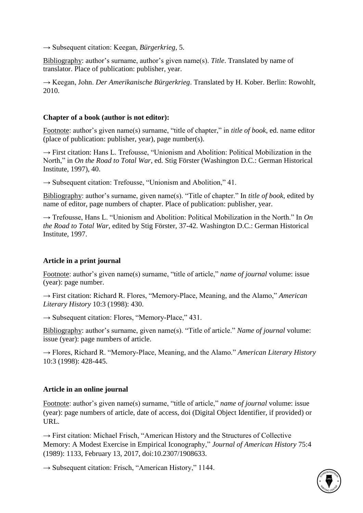→ Subsequent citation: Keegan, *Bürgerkrieg*, 5.

Bibliography: author's surname, author's given name(s). *Title*. Translated by name of translator. Place of publication: publisher, year.

→ Keegan, John. *Der Amerikanische Bürgerkrieg*. Translated by H. Kober. Berlin: Rowohlt, 2010.

#### **Chapter of a book (author is not editor):**

Footnote: author's given name(s) surname, "title of chapter," in *title of book*, ed. name editor (place of publication: publisher, year), page number(s).

 $\rightarrow$  First citation: Hans L. Trefousse, "Unionism and Abolition: Political Mobilization in the North," in *On the Road to Total War*, ed. Stig Förster (Washington D.C.: German Historical Institute, 1997), 40.

 $\rightarrow$  Subsequent citation: Trefousse, "Unionism and Abolition," 41.

Bibliography: author's surname, given name(s). "Title of chapter." In *title of book*, edited by name of editor, page numbers of chapter. Place of publication: publisher, year.

 $\rightarrow$  Trefousse, Hans L. "Unionism and Abolition: Political Mobilization in the North." In *On the Road to Total War*, edited by Stig Förster, 37-42. Washington D.C.: German Historical Institute, 1997.

# **Article in a print journal**

Footnote: author's given name(s) surname, "title of article," *name of journal* volume: issue (year): page number.

→ First citation: Richard R. Flores, "Memory-Place, Meaning, and the Alamo," *American Literary History* 10:3 (1998): 430.

 $\rightarrow$  Subsequent citation: Flores, "Memory-Place," 431.

Bibliography: author's surname, given name(s). "Title of article." *Name of journal* volume: issue (year): page numbers of article.

→ Flores, Richard R. "Memory-Place, Meaning, and the Alamo." *American Literary History* 10:3 (1998): 428-445.

# **Article in an online journal**

Footnote: author's given name(s) surname, "title of article," *name of journal* volume: issue (year): page numbers of article, date of access, doi (Digital Object Identifier, if provided) or URL.

 $\rightarrow$  First citation: Michael Frisch, "American History and the Structures of Collective Memory: A Modest Exercise in Empirical Iconography," *Journal of American History* 75:4 (1989): 1133, February 13, 2017, doi:10.2307/1908633.

 $\rightarrow$  Subsequent citation: Frisch, "American History," 1144.

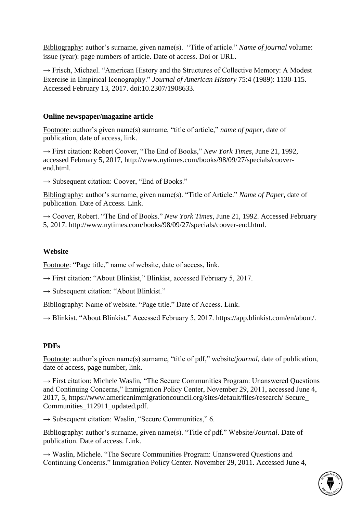Bibliography: author's surname, given name(s). "Title of article." *Name of journal* volume: issue (year): page numbers of article. Date of access. Doi or URL.

 $\rightarrow$  Frisch, Michael. "American History and the Structures of Collective Memory: A Modest Exercise in Empirical Iconography." *Journal of American History* 75:4 (1989): 1130-115. Accessed February 13, 2017. doi:10.2307/1908633.

# **Online newspaper/magazine article**

Footnote: author's given name(s) surname, "title of article," *name of paper*, date of publication, date of access, link.

→ First citation: Robert Coover, "The End of Books," *New York Times*, June 21, 1992, accessed February 5, 2017, http://www.nytimes.com/books/98/09/27/specials/cooverend.html.

 $\rightarrow$  Subsequent citation: Coover, "End of Books."

Bibliography: author's surname, given name(s). "Title of Article." *Name of Paper*, date of publication. Date of Access. Link.

→ Coover, Robert. "The End of Books." *New York Times*, June 21, 1992. Accessed February 5, 2017. http://www.nytimes.com/books/98/09/27/specials/coover-end.html.

# **Website**

Footnote: "Page title," name of website, date of access, link.

 $\rightarrow$  First citation: "About Blinkist," Blinkist, accessed February 5, 2017.

 $\rightarrow$  Subsequent citation: "About Blinkist."

Bibliography: Name of website. "Page title." Date of Access. Link.

 $\rightarrow$  Blinkist. "About Blinkist." Accessed February 5, 2017. https://app.blinkist.com/en/about/.

# **PDFs**

Footnote: author's given name(s) surname, "title of pdf," website/*journal*, date of publication, date of access, page number, link.

 $\rightarrow$  First citation: Michele Waslin, "The Secure Communities Program: Unanswered Ouestions and Continuing Concerns," Immigration Policy Center, November 29, 2011, accessed June 4, 2017, 5, https://www.americanimmigrationcouncil.org/sites/default/files/research/ Secure\_ Communities\_112911\_updated.pdf.

 $\rightarrow$  Subsequent citation: Waslin, "Secure Communities," 6.

Bibliography: author's surname, given name(s). "Title of pdf." Website/*Journal*. Date of publication. Date of access. Link.

→ Waslin, Michele. "The Secure Communities Program: Unanswered Questions and Continuing Concerns." Immigration Policy Center. November 29, 2011. Accessed June 4,